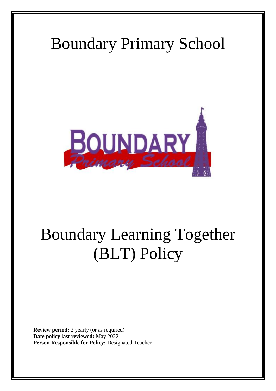# Boundary Primary School



# Boundary Learning Together (BLT) Policy

**Review period:** 2 yearly (or as required) **Date policy last reviewed:** May 2022 **Person Responsible for Policy:** Designated Teacher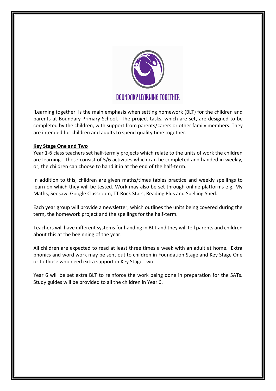

'Learning together' is the main emphasis when setting homework (BLT) for the children and parents at Boundary Primary School. The project tasks, which are set, are designed to be completed by the children, with support from parents/carers or other family members. They are intended for children and adults to spend quality time together.

### **Key Stage One and Two**

Year 1-6 class teachers set half-termly projects which relate to the units of work the children are learning. These consist of 5/6 activities which can be completed and handed in weekly, or, the children can choose to hand it in at the end of the half-term.

In addition to this, children are given maths/times tables practice and weekly spellings to learn on which they will be tested. Work may also be set through online platforms e.g. My Maths, Seesaw, Google Classroom, TT Rock Stars, Reading Plus and Spelling Shed.

Each year group will provide a newsletter, which outlines the units being covered during the term, the homework project and the spellings for the half-term.

Teachers will have different systems for handing in BLT and they will tell parents and children about this at the beginning of the year.

All children are expected to read at least three times a week with an adult at home. Extra phonics and word work may be sent out to children in Foundation Stage and Key Stage One or to those who need extra support in Key Stage Two.

Year 6 will be set extra BLT to reinforce the work being done in preparation for the SATs. Study guides will be provided to all the children in Year 6.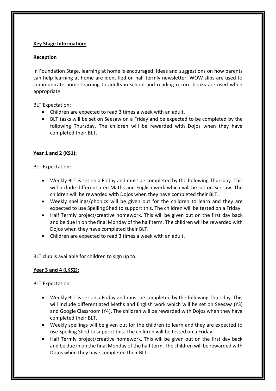# **Key Stage Information:**

## **Reception**

In Foundation Stage, learning at home is encouraged. Ideas and suggestions on how parents can help learning at home are identified on half termly newsletter. WOW slips are used to communicate home learning to adults in school and reading record books are used when appropriate.

BLT Expectation:

- Children are expected to read 3 times a week with an adult.
- BLT tasks will be set on Seesaw on a Friday and be expected to be completed by the following Thursday. The children will be rewarded with Dojos when they have completed their BLT.

# **Year 1 and 2 (KS1):**

BLT Expectation:

- Weekly BLT is set on a Friday and must be completed by the following Thursday. This will include differentiated Maths and English work which will be set on Seesaw. The children will be rewarded with Dojos when they have completed their BLT.
- Weekly spellings/phonics will be given out for the children to learn and they are expected to use Spelling Shed to support this. The children will be tested on a Friday.
- Half Termly project/creative homework. This will be given out on the first day back and be due in on the final Monday of the half term. The children will be rewarded with Dojos when they have completed their BLT.
- Children are expected to read 3 times a week with an adult.

BLT club is available for children to sign up to.

# **Year 3 and 4 (LKS2):**

BLT Expectation:

- Weekly BLT is set on a Friday and must be completed by the following Thursday. This will include differentiated Maths and English work which will be set on Seesaw (Y3) and Google Classroom (Y4). The children will be rewarded with Dojos when they have completed their BLT.
- Weekly spellings will be given out for the children to learn and they are expected to use Spelling Shed to support this. The children will be tested on a Friday.
- Half Termly project/creative homework. This will be given out on the first day back and be due in on the final Monday of the half term. The children will be rewarded with Dojos when they have completed their BLT.